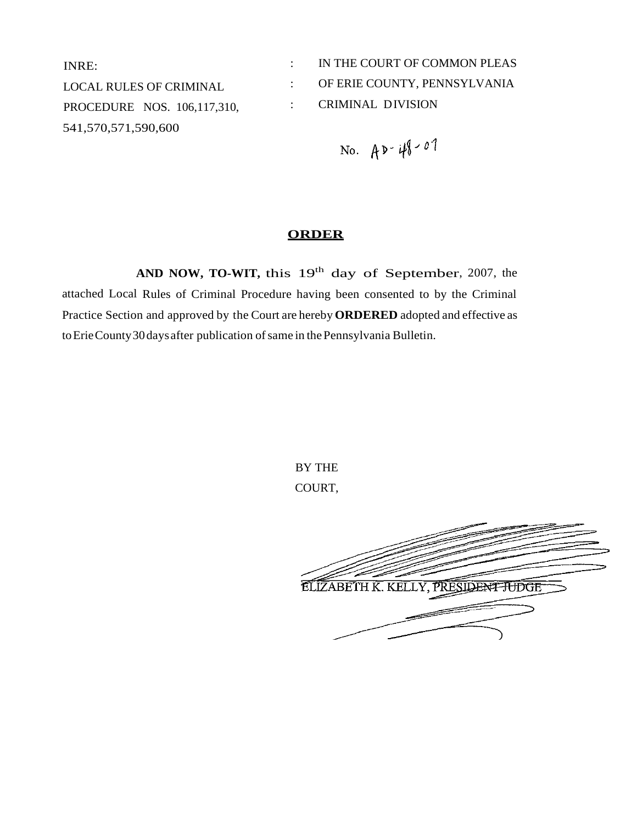INRE: LOCAL RULES OF CRIMINAL PROCEDURE NOS. 106,117,310, 541,570,571,590,600

: IN THE COURT OF COMMON PLEAS : OF ERIE COUNTY, PENNSYLVANIA : CRIMINAL DIVISION

No.  $A P - 48 - 01$ 

# **ORDER**

AND NOW, TO-WIT, this 19<sup>th</sup> day of September, 2007, the attached Local Rules of Criminal Procedure having been consented to by the Criminal Practice Section and approved by the Court are hereby **ORDERED** adopted and effective as toErieCounty30days after publication ofsame in thePennsylvania Bulletin.

> BY THE COURT,

ELIZABETH K. KELLY, PRESIDENT TUDGE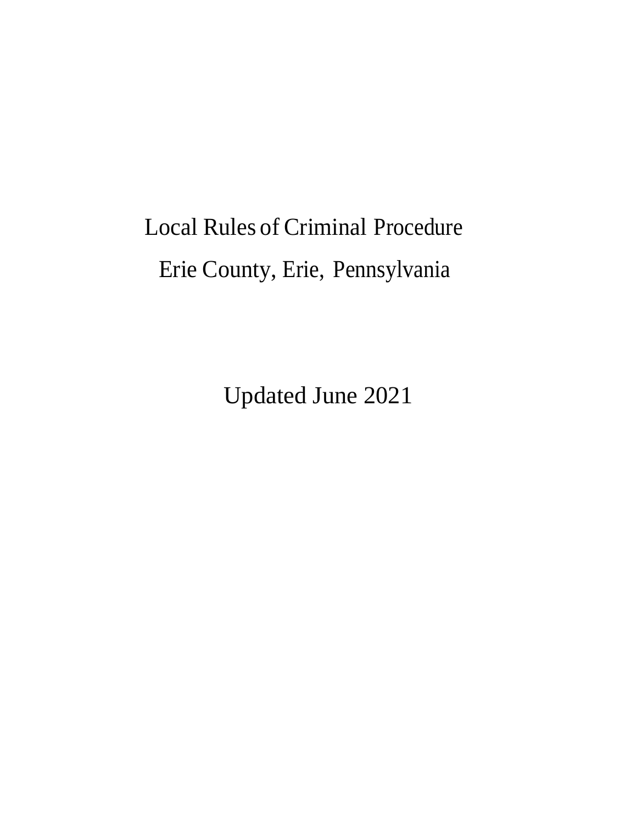# Local Rules of Criminal Procedure Erie County, Erie, Pennsylvania

Updated June 2021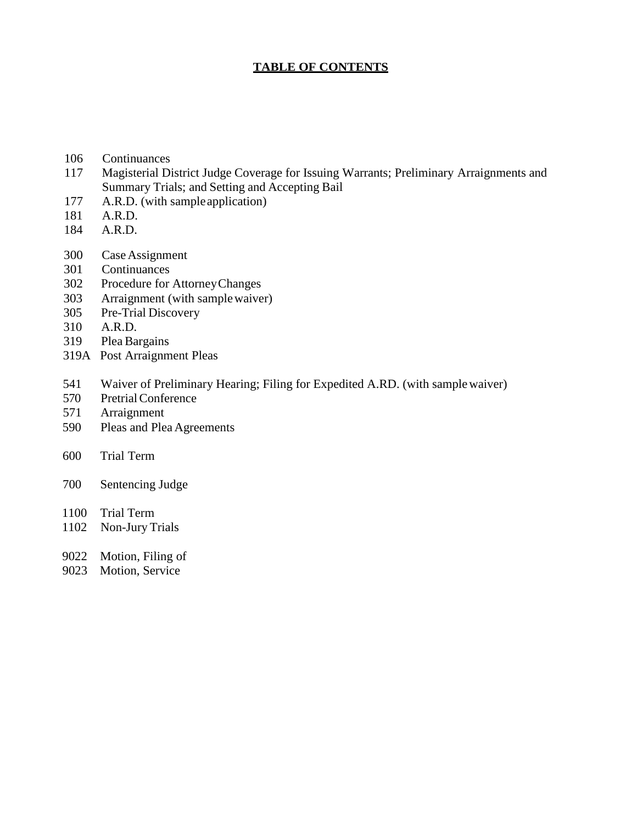# **TABLE OF CONTENTS**

- Continuances
- Magisterial District Judge Coverage for Issuing Warrants; Preliminary Arraignments and Summary Trials; and Setting and Accepting Bail
- A.R.D. (with sampleapplication)
- A.R.D.
- A.R.D.
- CaseAssignment
- Continuances
- Procedure for AttorneyChanges
- Arraignment (with samplewaiver)
- Pre-Trial Discovery
- A.R.D.
- Plea Bargains
- 319A Post Arraignment Pleas
- Waiver of Preliminary Hearing; Filing for Expedited A.RD. (with samplewaiver)
- PretrialConference
- Arraignment
- Pleas and Plea Agreements
- Trial Term
- Sentencing Judge
- Trial Term
- Non-Jury Trials
- Motion, Filing of
- 9023 Motion, Service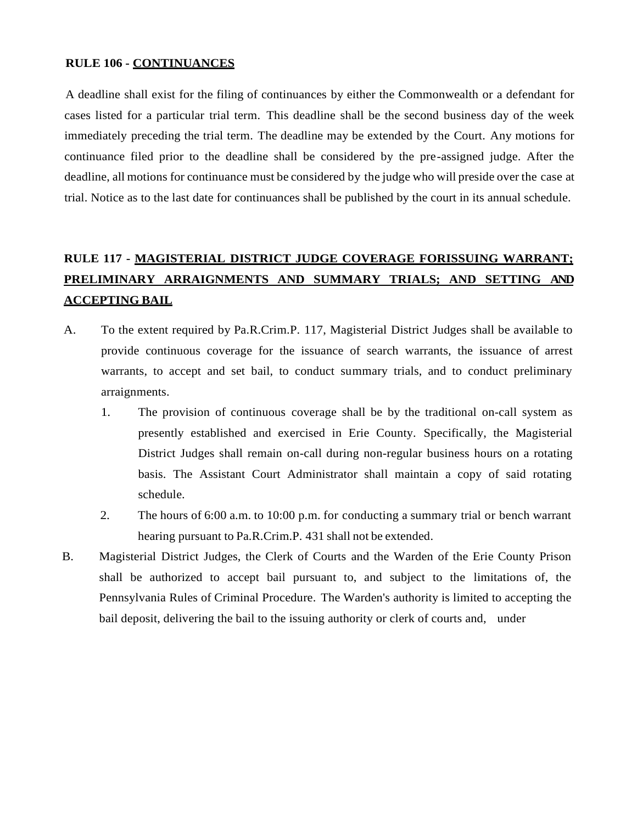#### **RULE 106 - CONTINUANCES**

A deadline shall exist for the filing of continuances by either the Commonwealth or a defendant for cases listed for a particular trial term. This deadline shall be the second business day of the week immediately preceding the trial term. The deadline may be extended by the Court. Any motions for continuance filed prior to the deadline shall be considered by the pre-assigned judge. After the deadline, all motions for continuance must be considered by the judge who will preside over the case at trial. Notice as to the last date for continuances shall be published by the court in its annual schedule.

# **RULE 117 - MAGISTERIAL DISTRICT JUDGE COVERAGE FORISSUING WARRANT; PRELIMINARY ARRAIGNMENTS AND SUMMARY TRIALS; AND SETTING AND ACCEPTING BAIL**

- A. To the extent required by Pa.R.Crim.P. 117, Magisterial District Judges shall be available to provide continuous coverage for the issuance of search warrants, the issuance of arrest warrants, to accept and set bail, to conduct summary trials, and to conduct preliminary arraignments.
	- 1. The provision of continuous coverage shall be by the traditional on-call system as presently established and exercised in Erie County. Specifically, the Magisterial District Judges shall remain on-call during non-regular business hours on a rotating basis. The Assistant Court Administrator shall maintain a copy of said rotating schedule.
	- 2. The hours of 6:00 a.m. to 10:00 p.m. for conducting a summary trial or bench warrant hearing pursuant to Pa.R.Crim.P. 431 shall not be extended.
- B. Magisterial District Judges, the Clerk of Courts and the Warden of the Erie County Prison shall be authorized to accept bail pursuant to, and subject to the limitations of, the Pennsylvania Rules of Criminal Procedure. The Warden's authority is limited to accepting the bail deposit, delivering the bail to the issuing authority or clerk of courts and, under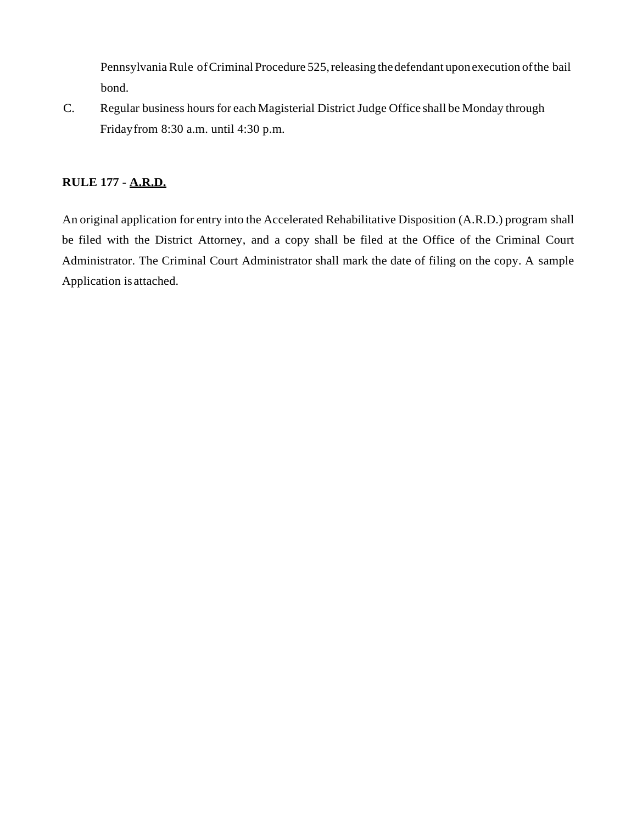Pennsylvania Rule of Criminal Procedure 525, releasing the defendant upon execution of the bail bond.

C. Regular business hours for each Magisterial District Judge Office shall be Monday through Fridayfrom 8:30 a.m. until 4:30 p.m.

# **RULE 177 - A.R.D.**

An original application for entry into the Accelerated Rehabilitative Disposition (A.R.D.) program shall be filed with the District Attorney, and a copy shall be filed at the Office of the Criminal Court Administrator. The Criminal Court Administrator shall mark the date of filing on the copy. A sample Application is attached.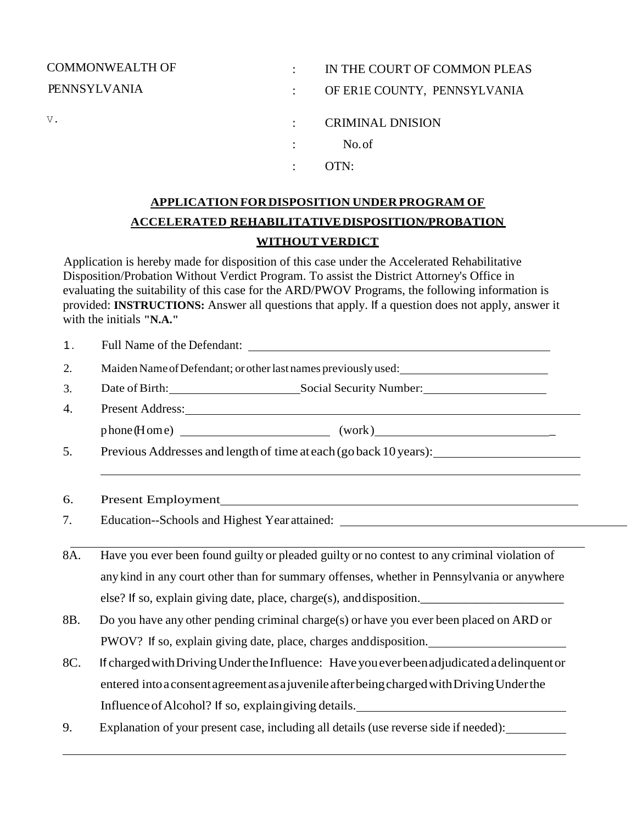| <b>COMMONWEALTH OF</b> | IN THE COURT OF COMMON PLEAS |
|------------------------|------------------------------|
| <b>PENNSYLVANIA</b>    | OF ERIE COUNTY, PENNSYLVANIA |
| V.                     | <b>CRIMINAL DNISION</b>      |
|                        | No.of                        |
|                        | OTN:                         |

# **APPLICATION FORDISPOSITION UNDERPROGRAM OF ACCELERATED REHABILITATIVEDISPOSITION/PROBATION WITHOUT VERDICT**

Application is hereby made for disposition of this case under the Accelerated Rehabilitative Disposition/Probation Without Verdict Program. To assist the District Attorney's Office in evaluating the suitability of this case for the ARD/PWOV Programs, the following information is provided: **INSTRUCTIONS:** Answer all questions that apply. If a question does not apply, answer it with the initials **"N.A."**

| 1.  |                                                                                                                                                                                                                                |  |  |
|-----|--------------------------------------------------------------------------------------------------------------------------------------------------------------------------------------------------------------------------------|--|--|
| 2.  |                                                                                                                                                                                                                                |  |  |
| 3.  | Date of Birth: Social Security Number: Social Security Number:                                                                                                                                                                 |  |  |
| 4.  | Present Address: New York Changes and Separate Address and Separate Address and Separate Address and Separate Address and Separate Address and Separate Address and Separate Address and Separate Address and Separate Address |  |  |
|     | phone (Home) (work)                                                                                                                                                                                                            |  |  |
| 5.  | Previous Addresses and length of time at each (go back 10 years):                                                                                                                                                              |  |  |
| 6.  |                                                                                                                                                                                                                                |  |  |
| 7.  | Education--Schools and Highest Year attained: ___________________________________                                                                                                                                              |  |  |
| 8A. | Have you ever been found guilty or pleaded guilty or no contest to any criminal violation of                                                                                                                                   |  |  |
|     | any kind in any court other than for summary offenses, whether in Pennsylvania or anywhere                                                                                                                                     |  |  |
|     | else? If so, explain giving date, place, charge(s), and disposition.                                                                                                                                                           |  |  |
| 8B. | Do you have any other pending criminal charge(s) or have you ever been placed on ARD or                                                                                                                                        |  |  |
|     | PWOV? If so, explain giving date, place, charges and disposition.                                                                                                                                                              |  |  |
| 8C. | If charged with Driving Under the Influence: Have you ever been adjudicated a delinquent or                                                                                                                                    |  |  |
|     | entered into a consent agreement as a juvenile after being charged with Driving Under the                                                                                                                                      |  |  |
|     | Influence of Alcohol? If so, explain giving details.                                                                                                                                                                           |  |  |
| 9.  | Explanation of your present case, including all details (use reverse side if needed):                                                                                                                                          |  |  |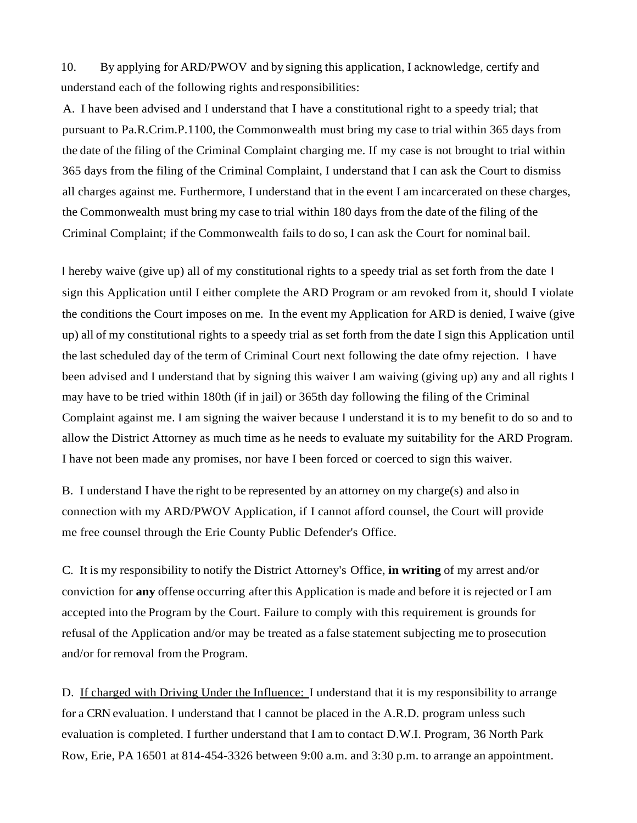10. By applying for ARD/PWOV and by signing this application, I acknowledge, certify and understand each of the following rights and responsibilities:

A. I have been advised and I understand that I have a constitutional right to a speedy trial; that pursuant to Pa.R.Crim.P.1100, the Commonwealth must bring my case to trial within 365 days from the date of the filing of the Criminal Complaint charging me. If my case is not brought to trial within 365 days from the filing of the Criminal Complaint, I understand that I can ask the Court to dismiss all charges against me. Furthermore, I understand that in the event I am incarcerated on these charges, the Commonwealth must bring my case to trial within 180 days from the date of the filing of the Criminal Complaint; if the Commonwealth fails to do so, I can ask the Court for nominal bail.

I hereby waive (give up) all of my constitutional rights to a speedy trial as set forth from the date I sign this Application until I either complete the ARD Program or am revoked from it, should I violate the conditions the Court imposes on me. In the event my Application for ARD is denied, I waive (give up) all of my constitutional rights to a speedy trial as set forth from the date I sign this Application until the last scheduled day of the term of Criminal Court next following the date ofmy rejection. I have been advised and I understand that by signing this waiver I am waiving (giving up) any and all rights I may have to be tried within 180th (if in jail) or 365th day following the filing of the Criminal Complaint against me. I am signing the waiver because I understand it is to my benefit to do so and to allow the District Attorney as much time as he needs to evaluate my suitability for the ARD Program. I have not been made any promises, nor have I been forced or coerced to sign this waiver.

B. I understand I have the right to be represented by an attorney on my charge(s) and also in connection with my ARD/PWOV Application, if I cannot afford counsel, the Court will provide me free counsel through the Erie County Public Defender's Office.

C. It is my responsibility to notify the District Attorney's Office, **in writing** of my arrest and/or conviction for **any** offense occurring after this Application is made and before it is rejected or I am accepted into the Program by the Court. Failure to comply with this requirement is grounds for refusal of the Application and/or may be treated as a false statement subjecting me to prosecution and/or for removal from the Program.

D. If charged with Driving Under the Influence: I understand that it is my responsibility to arrange for a CRN evaluation. I understand that I cannot be placed in the A.R.D. program unless such evaluation is completed. I further understand that I am to contact D.W.I. Program, 36 North Park Row, Erie, PA 16501 at 814-454-3326 between 9:00 a.m. and 3:30 p.m. to arrange an appointment.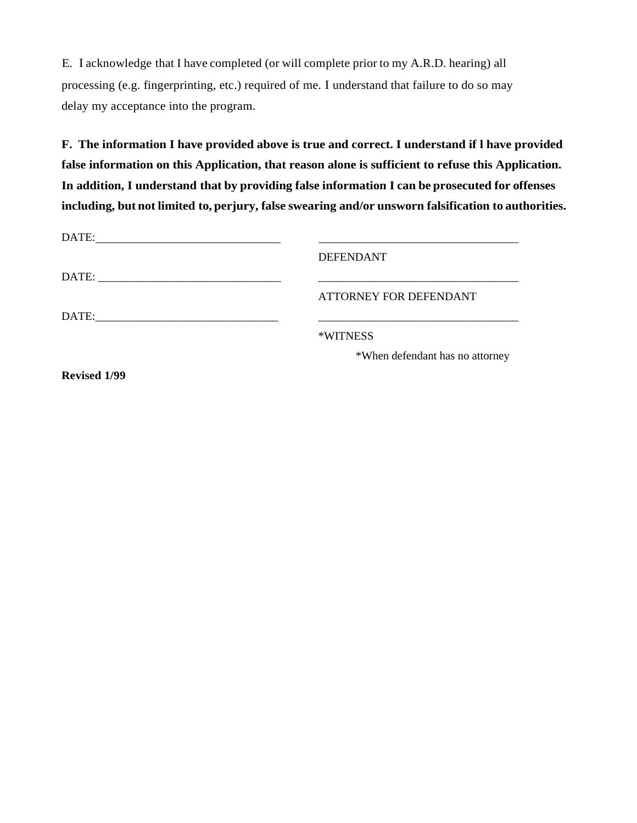E. I acknowledge that I have completed (or will complete prior to my A.R.D. hearing) all processing (e.g. fingerprinting, etc.) required of me. I understand that failure to do so may delay my acceptance into the program.

**F. The information I have provided above is true and correct. I understand if l have provided false information on this Application, that reason alone is sufficient to refuse this Application. In addition, I understand that by providing false information I can be prosecuted for offenses including, but not limited to, perjury, false swearing and/or unsworn falsification to authorities.**

| <b>DEFENDANT</b>                |
|---------------------------------|
|                                 |
| ATTORNEY FOR DEFENDANT          |
|                                 |
| *WITNESS                        |
| *When defendant has no attorney |
|                                 |

**Revised 1/99**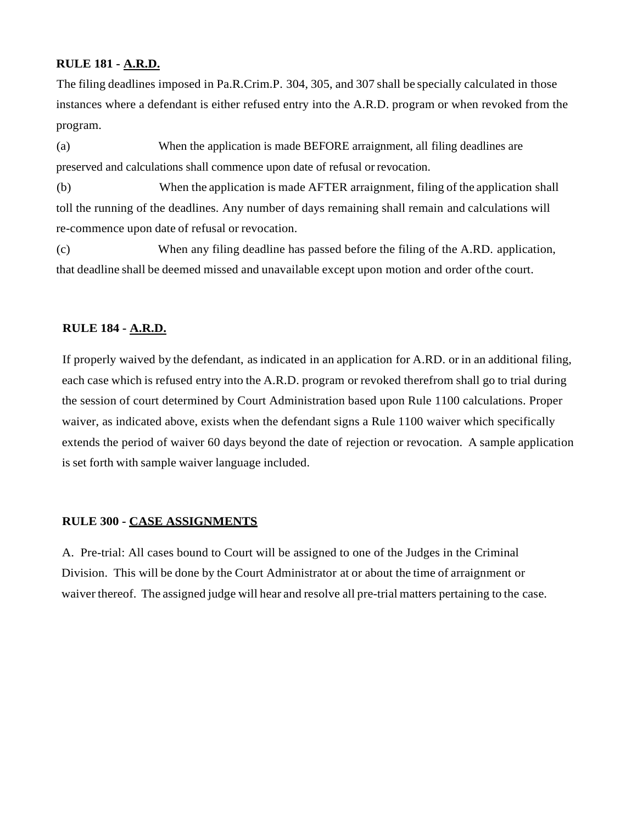#### **RULE 181 - A.R.D.**

The filing deadlines imposed in Pa.R.Crim.P. 304, 305, and 307 shall be specially calculated in those instances where a defendant is either refused entry into the A.R.D. program or when revoked from the program.

(a) When the application is made BEFORE arraignment, all filing deadlines are preserved and calculations shall commence upon date of refusal or revocation.

(b) When the application is made AFTER arraignment, filing of the application shall toll the running of the deadlines. Any number of days remaining shall remain and calculations will re-commence upon date of refusal or revocation.

(c) When any filing deadline has passed before the filing of the A.RD. application, that deadline shall be deemed missed and unavailable except upon motion and order ofthe court.

# **RULE 184 - A.R.D.**

If properly waived by the defendant, as indicated in an application for A.RD. or in an additional filing, each case which is refused entry into the A.R.D. program or revoked therefrom shall go to trial during the session of court determined by Court Administration based upon Rule 1100 calculations. Proper waiver, as indicated above, exists when the defendant signs a Rule 1100 waiver which specifically extends the period of waiver 60 days beyond the date of rejection or revocation. A sample application is set forth with sample waiver language included.

#### **RULE 300 - CASE ASSIGNMENTS**

A. Pre-trial: All cases bound to Court will be assigned to one of the Judges in the Criminal Division. This will be done by the Court Administrator at or about the time of arraignment or waiver thereof. The assigned judge will hear and resolve all pre-trial matters pertaining to the case.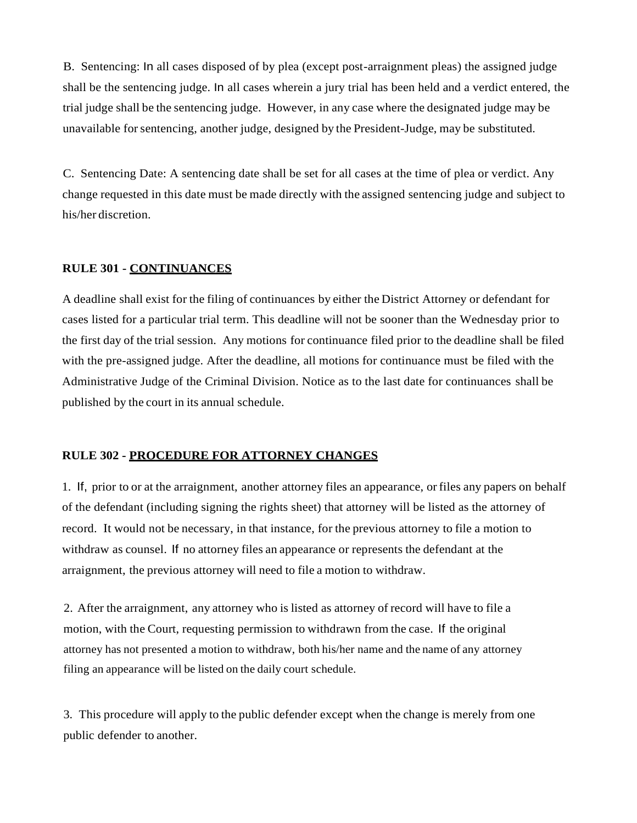B. Sentencing: In all cases disposed of by plea (except post-arraignment pleas) the assigned judge shall be the sentencing judge. In all cases wherein a jury trial has been held and a verdict entered, the trial judge shall be the sentencing judge. However, in any case where the designated judge may be unavailable forsentencing, another judge, designed by the President-Judge, may be substituted.

C. Sentencing Date: A sentencing date shall be set for all cases at the time of plea or verdict. Any change requested in this date must be made directly with the assigned sentencing judge and subject to his/her discretion.

#### **RULE 301 - CONTINUANCES**

A deadline shall exist for the filing of continuances by either the District Attorney or defendant for cases listed for a particular trial term. This deadline will not be sooner than the Wednesday prior to the first day of the trial session. Any motions for continuance filed prior to the deadline shall be filed with the pre-assigned judge. After the deadline, all motions for continuance must be filed with the Administrative Judge of the Criminal Division. Notice as to the last date for continuances shall be published by the court in its annual schedule.

#### **RULE 302 - PROCEDURE FOR ATTORNEY CHANGES**

1. If, prior to or at the arraignment, another attorney files an appearance, or files any papers on behalf of the defendant (including signing the rights sheet) that attorney will be listed as the attorney of record. It would not be necessary, in that instance, for the previous attorney to file a motion to withdraw as counsel. If no attorney files an appearance or represents the defendant at the arraignment, the previous attorney will need to file a motion to withdraw.

2. After the arraignment, any attorney who is listed as attorney of record will have to file a motion, with the Court, requesting permission to withdrawn from the case. If the original attorney has not presented a motion to withdraw, both his/her name and the name of any attorney filing an appearance will be listed on the daily court schedule.

3. This procedure will apply to the public defender except when the change is merely from one public defender to another.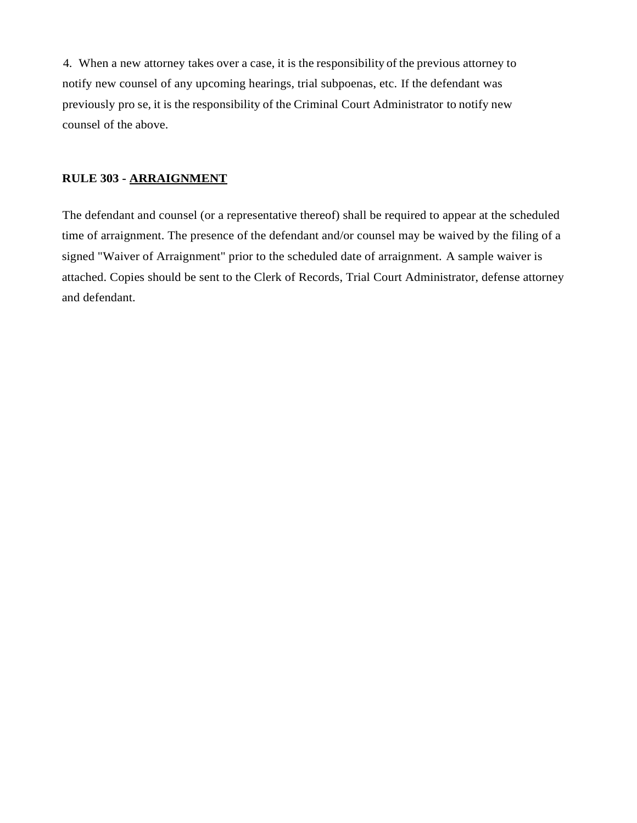4. When a new attorney takes over a case, it is the responsibility of the previous attorney to notify new counsel of any upcoming hearings, trial subpoenas, etc. If the defendant was previously pro se, it is the responsibility of the Criminal Court Administrator to notify new counsel of the above.

# **RULE 303 - ARRAIGNMENT**

The defendant and counsel (or a representative thereof) shall be required to appear at the scheduled time of arraignment. The presence of the defendant and/or counsel may be waived by the filing of a signed "Waiver of Arraignment" prior to the scheduled date of arraignment. A sample waiver is attached. Copies should be sent to the Clerk of Records, Trial Court Administrator, defense attorney and defendant.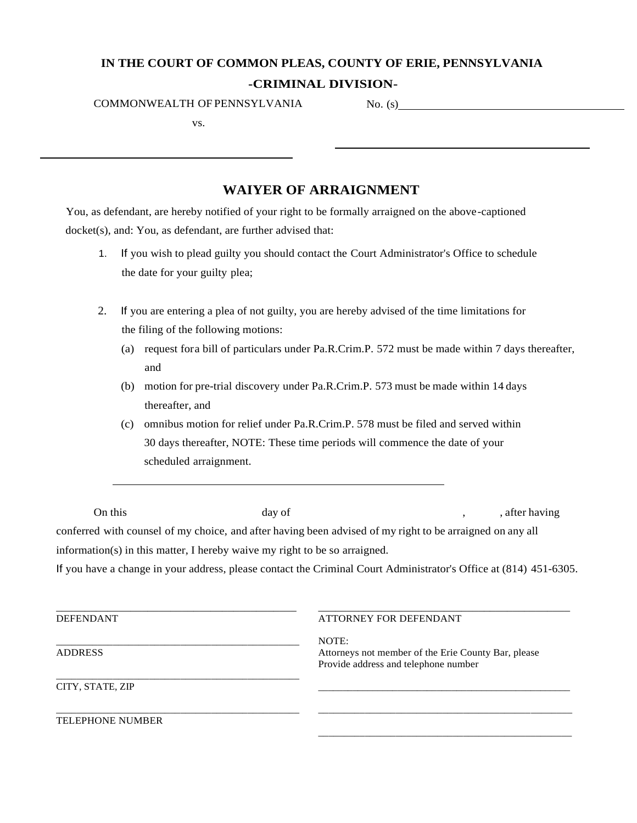# **IN THE COURT OF COMMON PLEAS, COUNTY OF ERIE, PENNSYLVANIA**

#### **-CRIMINAL DIVISION-**

COMMONWEALTH OF PENNSYLVANIA No. (s)

vs.

# **WAIYER OF ARRAIGNMENT**

You, as defendant, are hereby notified of your right to be formally arraigned on the above-captioned docket(s), and: You, as defendant, are further advised that:

- 1. If you wish to plead guilty you should contact the Court Administrator's Office to schedule the date for your guilty plea;
- 2. If you are entering a plea of not guilty, you are hereby advised of the time limitations for the filing of the following motions:
	- (a) request fora bill of particulars under Pa.R.Crim.P. 572 must be made within 7 days thereafter, and
	- (b) motion for pre-trial discovery under Pa.R.Crim.P. 573 must be made within 14 days thereafter, and
	- (c) omnibus motion for relief under Pa.R.Crim.P. 578 must be filed and served within 30 days thereafter, NOTE: These time periods will commence the date of your scheduled arraignment.

| On this | day of                                                                                                            | , after having |
|---------|-------------------------------------------------------------------------------------------------------------------|----------------|
|         | conferred with counsel of my choice, and after having been advised of my right to be arraigned on any all         |                |
|         | information(s) in this matter, I hereby waive my right to be so arraigned.                                        |                |
|         | If you have a change in your address, please contact the Criminal Court Administrator's Office at (814) 451-6305. |                |
|         |                                                                                                                   |                |
|         |                                                                                                                   |                |

| <b>DEFENDANT</b>        | ATTORNEY FOR DEFENDANT                                                                               |
|-------------------------|------------------------------------------------------------------------------------------------------|
| <b>ADDRESS</b>          | NOTE:<br>Attorneys not member of the Erie County Bar, please<br>Provide address and telephone number |
| CITY, STATE, ZIP        |                                                                                                      |
| <b>TELEPHONE NUMBER</b> |                                                                                                      |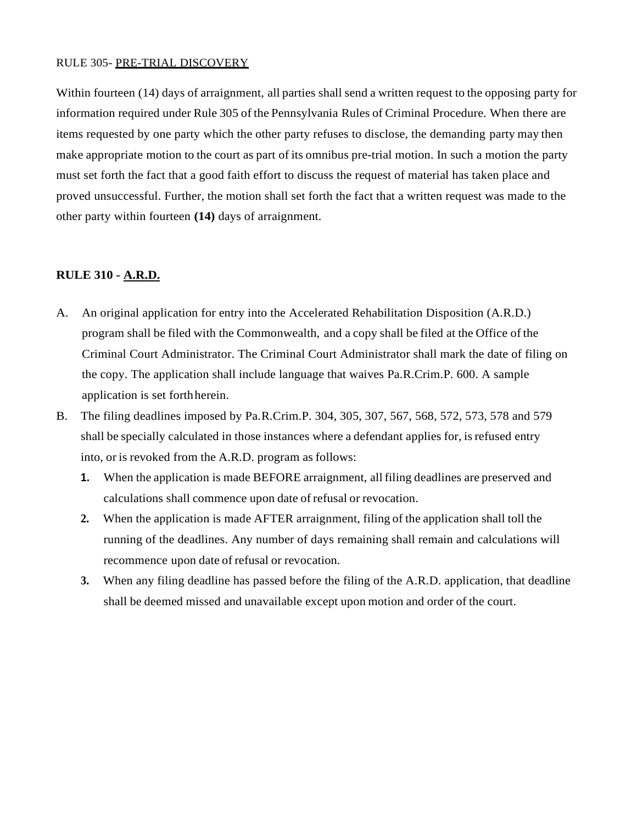#### RULE 305- PRE-TRIAL DISCOVERY

Within fourteen (14) days of arraignment, all parties shall send a written request to the opposing party for information required under Rule 305 of the Pennsylvania Rules of Criminal Procedure. When there are items requested by one party which the other party refuses to disclose, the demanding party may then make appropriate motion to the court as part of its omnibus pre-trial motion. In such a motion the party must set forth the fact that a good faith effort to discuss the request of material has taken place and proved unsuccessful. Further, the motion shall set forth the fact that a written request was made to the other party within fourteen **(14)** days of arraignment.

# **RULE 310 - A.R.D.**

- A. An original application for entry into the Accelerated Rehabilitation Disposition (A.R.D.) program shall be filed with the Commonwealth, and a copy shall be filed at the Office of the Criminal Court Administrator. The Criminal Court Administrator shall mark the date of filing on the copy. The application shall include language that waives Pa.R.Crim.P. 600. A sample application is set forthherein.
- B. The filing deadlines imposed by Pa.R.Crim.P. 304, 305, 307, 567, 568, 572, 573, 578 and 579 shall be specially calculated in those instances where a defendant applies for, isrefused entry into, or is revoked from the A.R.D. program as follows:
	- **1.** When the application is made BEFORE arraignment, all filing deadlines are preserved and calculations shall commence upon date ofrefusal or revocation.
	- **2.** When the application is made AFTER arraignment, filing of the application shall toll the running of the deadlines. Any number of days remaining shall remain and calculations will recommence upon date of refusal or revocation.
	- **3.** When any filing deadline has passed before the filing of the A.R.D. application, that deadline shall be deemed missed and unavailable except upon motion and order of the court.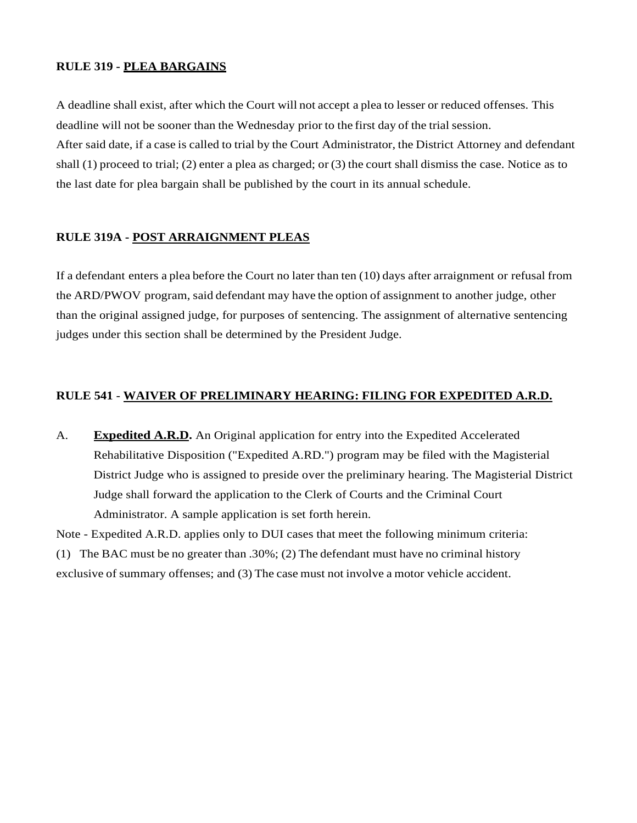#### **RULE 319 - PLEA BARGAINS**

A deadline shall exist, after which the Court will not accept a plea to lesser or reduced offenses. This deadline will not be sooner than the Wednesday prior to the first day of the trial session. After said date, if a case is called to trial by the Court Administrator, the District Attorney and defendant shall (1) proceed to trial; (2) enter a plea as charged; or (3) the court shall dismiss the case. Notice as to the last date for plea bargain shall be published by the court in its annual schedule.

# **RULE 319A - POST ARRAIGNMENT PLEAS**

If a defendant enters a plea before the Court no later than ten (10) days after arraignment or refusal from the ARD/PWOV program, said defendant may have the option of assignment to another judge, other than the original assigned judge, for purposes of sentencing. The assignment of alternative sentencing judges under this section shall be determined by the President Judge.

#### **RULE 541** - **WAIVER OF PRELIMINARY HEARING: FILING FOR EXPEDITED A.R.D.**

A. **Expedited A.R.D.** An Original application for entry into the Expedited Accelerated Rehabilitative Disposition ("Expedited A.RD.") program may be filed with the Magisterial District Judge who is assigned to preside over the preliminary hearing. The Magisterial District Judge shall forward the application to the Clerk of Courts and the Criminal Court Administrator. A sample application is set forth herein.

Note - Expedited A.R.D. applies only to DUI cases that meet the following minimum criteria: (1) The BAC must be no greater than .30%; (2) The defendant must have no criminal history exclusive of summary offenses; and (3) The case must not involve a motor vehicle accident.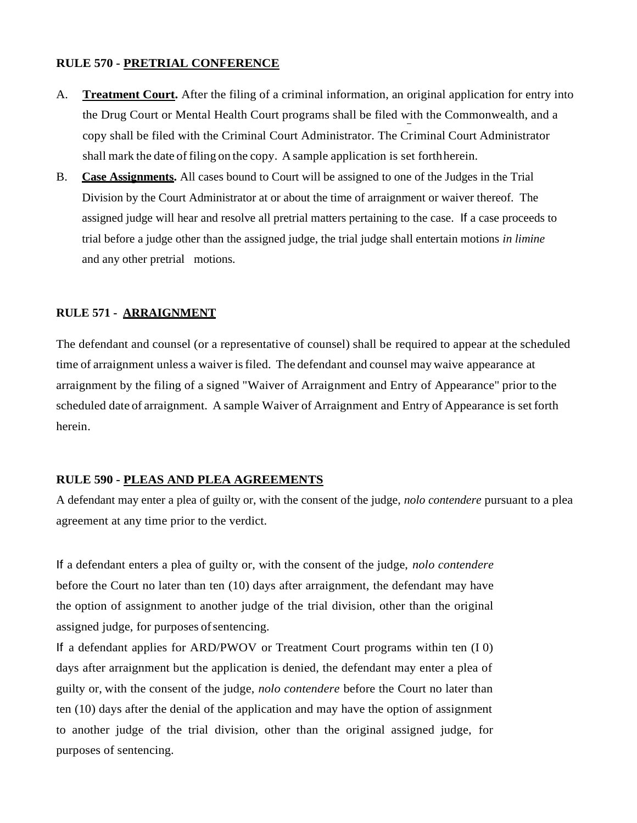# **RULE 570 - PRETRIAL CONFERENCE**

- A. **Treatment Court.** After the filing of a criminal information, an original application for entry into the Drug Court or Mental Health Court programs shall be filed with the Commonwealth, and a copy shall be filed with the Criminal Court Administrator. The Criminal Court Administrator shall mark the date of filing on the copy. A sample application is set forthherein.
- B. **Case Assignments.** All cases bound to Court will be assigned to one of the Judges in the Trial Division by the Court Administrator at or about the time of arraignment or waiver thereof. The assigned judge will hear and resolve all pretrial matters pertaining to the case. If a case proceeds to trial before a judge other than the assigned judge, the trial judge shall entertain motions *in limine*  and any other pretrial motions.

#### **RULE 571 - ARRAIGNMENT**

The defendant and counsel (or a representative of counsel) shall be required to appear at the scheduled time of arraignment unless a waiver isfiled. The defendant and counsel may waive appearance at arraignment by the filing of a signed "Waiver of Arraignment and Entry of Appearance" prior to the scheduled date of arraignment. A sample Waiver of Arraignment and Entry of Appearance is set forth herein.

# **RULE 590 - PLEAS AND PLEA AGREEMENTS**

A defendant may enter a plea of guilty or, with the consent of the judge, *nolo contendere* pursuant to a plea agreement at any time prior to the verdict.

If a defendant enters a plea of guilty or, with the consent of the judge, *nolo contendere*  before the Court no later than ten (10) days after arraignment, the defendant may have the option of assignment to another judge of the trial division, other than the original assigned judge, for purposes of sentencing.

If a defendant applies for ARD/PWOV or Treatment Court programs within ten (I 0) days after arraignment but the application is denied, the defendant may enter a plea of guilty or, with the consent of the judge, *nolo contendere* before the Court no later than ten (10) days after the denial of the application and may have the option of assignment to another judge of the trial division, other than the original assigned judge, for purposes of sentencing.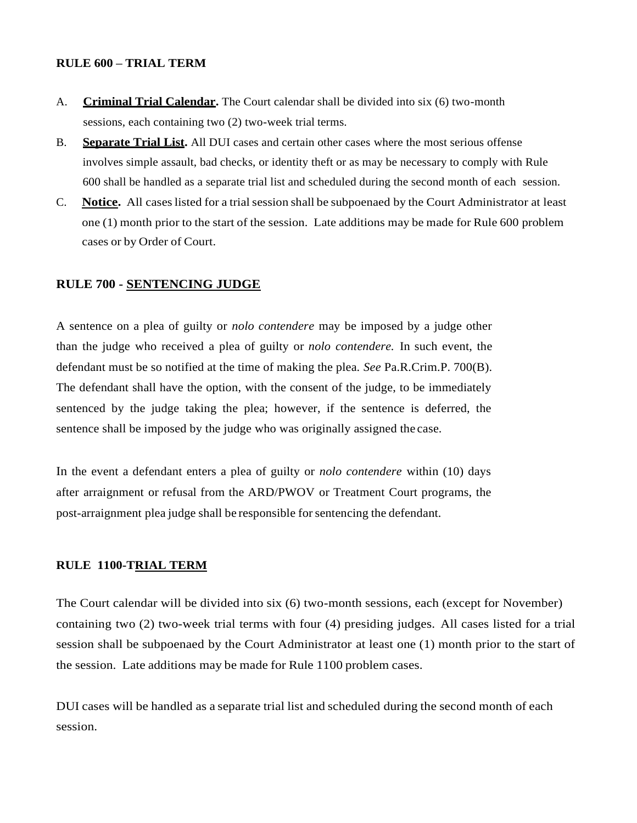#### **RULE 600 – TRIAL TERM**

- A. **Criminal Trial Calendar.** The Court calendar shall be divided into six (6) two-month sessions, each containing two (2) two-week trial terms.
- B. **Separate Trial List.** All DUI cases and certain other cases where the most serious offense involves simple assault, bad checks, or identity theft or as may be necessary to comply with Rule 600 shall be handled as a separate trial list and scheduled during the second month of each session.
- C. **Notice.** All cases listed for a trialsession shall be subpoenaed by the Court Administrator at least one (1) month prior to the start of the session. Late additions may be made for Rule 600 problem cases or by Order of Court.

#### **RULE 700 - SENTENCING JUDGE**

A sentence on a plea of guilty or *nolo contendere* may be imposed by a judge other than the judge who received a plea of guilty or *nolo contendere.* In such event, the defendant must be so notified at the time of making the plea. *See* Pa.R.Crim.P. 700(B). The defendant shall have the option, with the consent of the judge, to be immediately sentenced by the judge taking the plea; however, if the sentence is deferred, the sentence shall be imposed by the judge who was originally assigned the case.

In the event a defendant enters a plea of guilty or *nolo contendere* within (10) days after arraignment or refusal from the ARD/PWOV or Treatment Court programs, the post-arraignment plea judge shall be responsible for sentencing the defendant.

#### **RULE 1100-TRIAL TERM**

The Court calendar will be divided into six (6) two-month sessions, each (except for November) containing two (2) two-week trial terms with four (4) presiding judges. All cases listed for a trial session shall be subpoenaed by the Court Administrator at least one (1) month prior to the start of the session. Late additions may be made for Rule 1100 problem cases.

DUI cases will be handled as a separate trial list and scheduled during the second month of each session.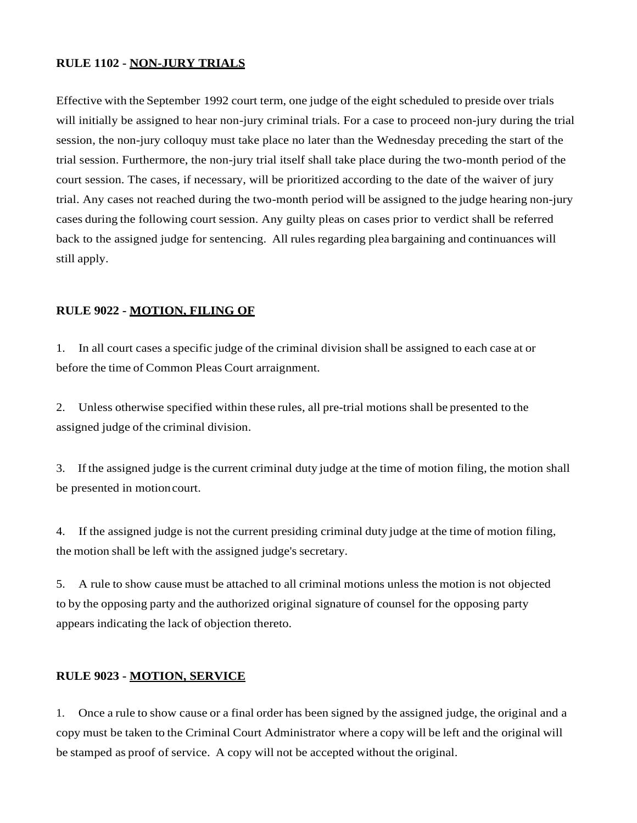# **RULE 1102 - NON-JURY TRIALS**

Effective with the September 1992 court term, one judge of the eight scheduled to preside over trials will initially be assigned to hear non-jury criminal trials. For a case to proceed non-jury during the trial session, the non-jury colloquy must take place no later than the Wednesday preceding the start of the trial session. Furthermore, the non-jury trial itself shall take place during the two-month period of the court session. The cases, if necessary, will be prioritized according to the date of the waiver of jury trial. Any cases not reached during the two-month period will be assigned to the judge hearing non-jury cases during the following court session. Any guilty pleas on cases prior to verdict shall be referred back to the assigned judge for sentencing. All rules regarding plea bargaining and continuances will still apply.

# **RULE 9022 - MOTION, FILING OF**

1. In all court cases a specific judge of the criminal division shall be assigned to each case at or before the time of Common Pleas Court arraignment.

2. Unless otherwise specified within these rules, all pre-trial motions shall be presented to the assigned judge of the criminal division.

3. If the assigned judge is the current criminal duty judge at the time of motion filing, the motion shall be presented in motioncourt.

4. If the assigned judge is not the current presiding criminal duty judge at the time of motion filing, the motion shall be left with the assigned judge's secretary.

5. A rule to show cause must be attached to all criminal motions unless the motion is not objected to by the opposing party and the authorized original signature of counsel for the opposing party appears indicating the lack of objection thereto.

#### **RULE 9023 - MOTION, SERVICE**

1. Once a rule to show cause or a final order has been signed by the assigned judge, the original and a copy must be taken to the Criminal Court Administrator where a copy will be left and the original will be stamped as proof of service. A copy will not be accepted without the original.